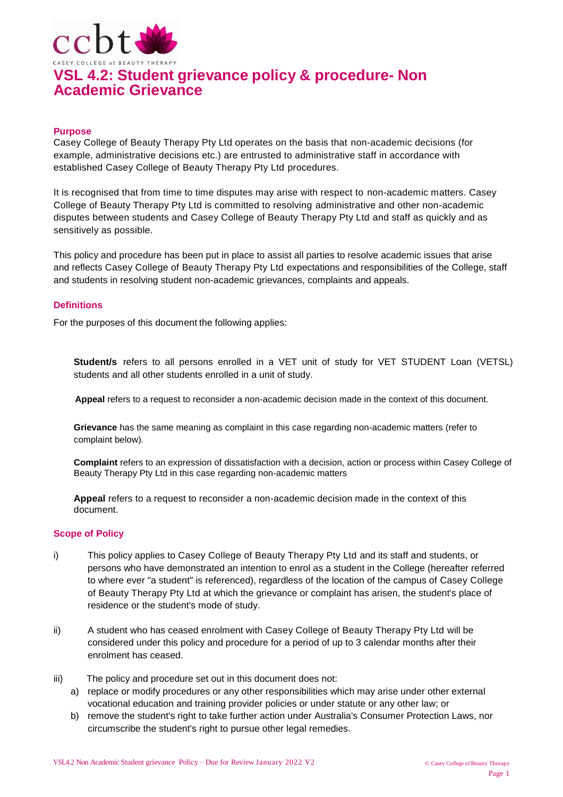

#### **Purpose**

Casey College of Beauty Therapy Pty Ltd operates on the basis that non-academic decisions (for example, administrative decisions etc.) are entrusted to administrative staff in accordance with established Casey College of Beauty Therapy Pty Ltd procedures.

It is recognised that from time to time disputes may arise with respect to non-academic matters. Casey College of Beauty Therapy Pty Ltd is committed to resolving administrative and other non-academic disputes between students and Casey College of Beauty Therapy Pty Ltd and staff as quickly and as sensitively as possible.

This policy and procedure has been put in place to assist all parties to resolve academic issues that arise and reflects Casey College of Beauty Therapy Pty Ltd expectations and responsibilities of the College, staff and students in resolving student non-academic grievances, complaints and appeals.

#### **Definitions**

For the purposes of this document the following applies:

**Student/s** refers to all persons enrolled in a VET unit of study for VET STUDENT Loan (VETSL) students and all other students enrolled in a unit of study.

**Appeal** refers to a request to reconsider a non-academic decision made in the context of this document.

**Grievance** has the same meaning as complaint in this case regarding non-academic matters (refer to complaint below).

**Complaint** refers to an expression of dissatisfaction with a decision, action or process within Casey College of Beauty Therapy Pty Ltd in this case regarding non-academic matters

**Appeal** refers to a request to reconsider a non-academic decision made in the context of this document.

#### **Scope of Policy**

- i) This policy applies to Casey College of Beauty Therapy Pty Ltd and its staff and students, or persons who have demonstrated an intention to enrol as a student in the College (hereafter referred to where ever "a student" is referenced), regardless of the location of the campus of Casey College of Beauty Therapy Pty Ltd at which the grievance or complaint has arisen, the student's place of residence or the student's mode of study.
- ii) A student who has ceased enrolment with Casey College of Beauty Therapy Pty Ltd will be considered under this policy and procedure for a period of up to 3 calendar months after their enrolment has ceased.
- iii) The policy and procedure set out in this document does not:
	- a) replace or modify procedures or any other responsibilities which may arise under other external vocational education and training provider policies or under statute or any other law; or
	- b) remove the student's right to take further action under Australia's Consumer Protection Laws, nor circumscribe the student's right to pursue other legal remedies.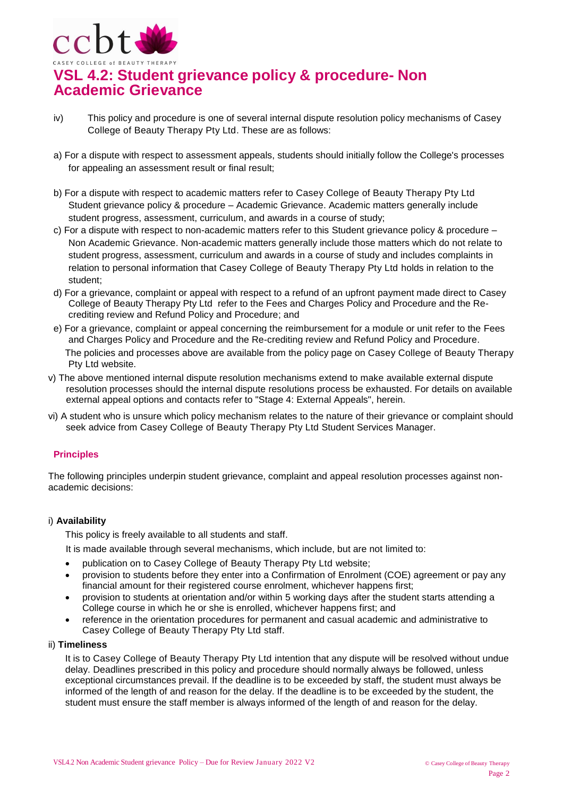

- iv) This policy and procedure is one of several internal dispute resolution policy mechanisms of Casey College of Beauty Therapy Pty Ltd. These are as follows:
- a) For a dispute with respect to assessment appeals, students should initially follow the College's processes for appealing an assessment result or final result;
- b) For a dispute with respect to academic matters refer to Casey College of Beauty Therapy Pty Ltd Student grievance policy & procedure – Academic Grievance. Academic matters generally include student progress, assessment, curriculum, and awards in a course of study;
- c) For a dispute with respect to non-academic matters refer to this Student grievance policy & procedure Non Academic Grievance. Non-academic matters generally include those matters which do not relate to student progress, assessment, curriculum and awards in a course of study and includes complaints in relation to personal information that Casey College of Beauty Therapy Pty Ltd holds in relation to the student;
- d) For a grievance, complaint or appeal with respect to a refund of an upfront payment made direct to Casey College of Beauty Therapy Pty Ltd refer to the Fees and Charges Policy and Procedure and the Recrediting review and Refund Policy and Procedure; and
- e) For a grievance, complaint or appeal concerning the reimbursement for a module or unit refer to the Fees and Charges Policy and Procedure and the Re-crediting review and Refund Policy and Procedure. The policies and processes above are available from the policy page on Casey College of Beauty Therapy Pty Ltd website.
- v) The above mentioned internal dispute resolution mechanisms extend to make available external dispute resolution processes should the internal dispute resolutions process be exhausted. For details on available external appeal options and contacts refer to "Stage 4: External Appeals", herein.
- vi) A student who is unsure which policy mechanism relates to the nature of their grievance or complaint should seek advice from Casey College of Beauty Therapy Pty Ltd Student Services Manager.

# **Principles**

The following principles underpin student grievance, complaint and appeal resolution processes against nonacademic decisions:

### i) **Availability**

This policy is freely available to all students and staff.

It is made available through several mechanisms, which include, but are not limited to:

- publication on to Casey College of Beauty Therapy Pty Ltd website;
- provision to students before they enter into a Confirmation of Enrolment (COE) agreement or pay any financial amount for their registered course enrolment, whichever happens first;
- provision to students at orientation and/or within 5 working days after the student starts attending a College course in which he or she is enrolled, whichever happens first; and
- reference in the orientation procedures for permanent and casual academic and administrative to Casey College of Beauty Therapy Pty Ltd staff.

#### ii) **Timeliness**

It is to Casey College of Beauty Therapy Pty Ltd intention that any dispute will be resolved without undue delay. Deadlines prescribed in this policy and procedure should normally always be followed, unless exceptional circumstances prevail. If the deadline is to be exceeded by staff, the student must always be informed of the length of and reason for the delay. If the deadline is to be exceeded by the student, the student must ensure the staff member is always informed of the length of and reason for the delay.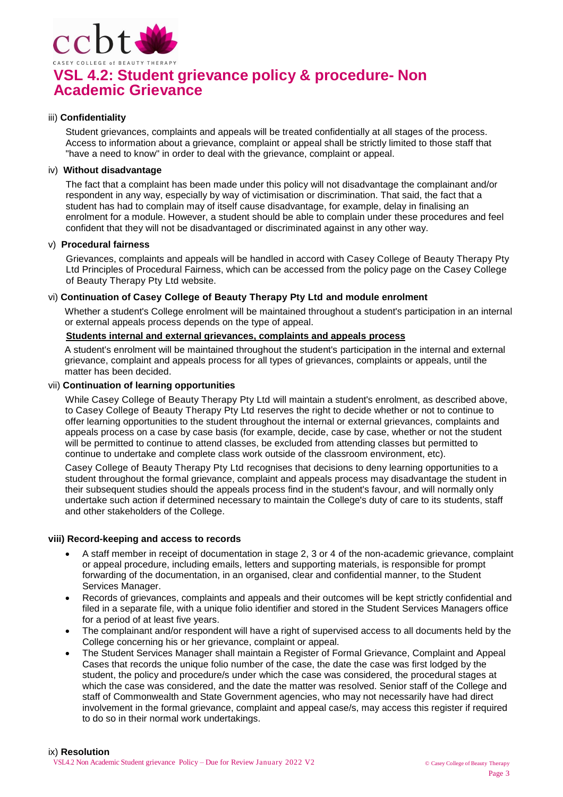

#### iii) **Confidentiality**

Student grievances, complaints and appeals will be treated confidentially at all stages of the process. Access to information about a grievance, complaint or appeal shall be strictly limited to those staff that "have a need to know" in order to deal with the grievance, complaint or appeal.

### iv) **Without disadvantage**

The fact that a complaint has been made under this policy will not disadvantage the complainant and/or respondent in any way, especially by way of victimisation or discrimination. That said, the fact that a student has had to complain may of itself cause disadvantage, for example, delay in finalising an enrolment for a module. However, a student should be able to complain under these procedures and feel confident that they will not be disadvantaged or discriminated against in any other way.

#### v) **Procedural fairness**

Grievances, complaints and appeals will be handled in accord with Casey College of Beauty Therapy Pty Ltd Principles of Procedural Fairness, which can be accessed from the policy page on the Casey College of Beauty Therapy Pty Ltd website.

#### vi) **Continuation of Casey College of Beauty Therapy Pty Ltd and module enrolment**

Whether a student's College enrolment will be maintained throughout a student's participation in an internal or external appeals process depends on the type of appeal.

# **Students internal and external grievances, complaints and appeals process**

A student's enrolment will be maintained throughout the student's participation in the internal and external grievance, complaint and appeals process for all types of grievances, complaints or appeals, until the matter has been decided.

#### vii) **Continuation of learning opportunities**

While Casey College of Beauty Therapy Pty Ltd will maintain a student's enrolment, as described above, to Casey College of Beauty Therapy Pty Ltd reserves the right to decide whether or not to continue to offer learning opportunities to the student throughout the internal or external grievances, complaints and appeals process on a case by case basis (for example, decide, case by case, whether or not the student will be permitted to continue to attend classes, be excluded from attending classes but permitted to continue to undertake and complete class work outside of the classroom environment, etc).

Casey College of Beauty Therapy Pty Ltd recognises that decisions to deny learning opportunities to a student throughout the formal grievance, complaint and appeals process may disadvantage the student in their subsequent studies should the appeals process find in the student's favour, and will normally only undertake such action if determined necessary to maintain the College's duty of care to its students, staff and other stakeholders of the College.

#### **viii) Record-keeping and access to records**

- A staff member in receipt of documentation in stage 2, 3 or 4 of the non-academic grievance, complaint or appeal procedure, including emails, letters and supporting materials, is responsible for prompt forwarding of the documentation, in an organised, clear and confidential manner, to the Student Services Manager.
- Records of grievances, complaints and appeals and their outcomes will be kept strictly confidential and filed in a separate file, with a unique folio identifier and stored in the Student Services Managers office for a period of at least five years.
- The complainant and/or respondent will have a right of supervised access to all documents held by the College concerning his or her grievance, complaint or appeal.
- The Student Services Manager shall maintain a Register of Formal Grievance, Complaint and Appeal Cases that records the unique folio number of the case, the date the case was first lodged by the student, the policy and procedure/s under which the case was considered, the procedural stages at which the case was considered, and the date the matter was resolved. Senior staff of the College and staff of Commonwealth and State Government agencies, who may not necessarily have had direct involvement in the formal grievance, complaint and appeal case/s, may access this register if required to do so in their normal work undertakings.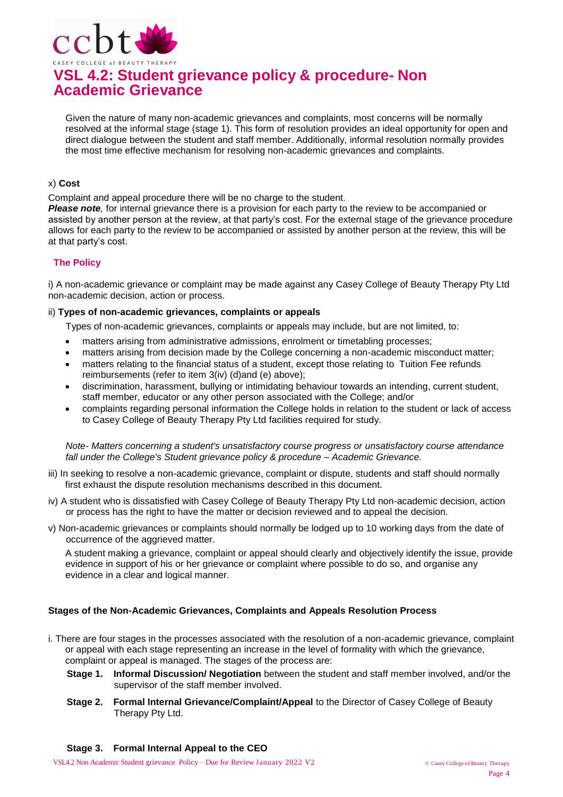

Given the nature of many non-academic grievances and complaints, most concerns will be normally resolved at the informal stage (stage 1). This form of resolution provides an ideal opportunity for open and direct dialogue between the student and staff member. Additionally, informal resolution normally provides the most time effective mechanism for resolving non-academic grievances and complaints.

## x) **Cost**

Complaint and appeal procedure there will be no charge to the student.

*Please note,* for internal grievance there is a provision for each party to the review to be accompanied or assisted by another person at the review, at that party's cost. For the external stage of the grievance procedure allows for each party to the review to be accompanied or assisted by another person at the review, this will be at that party's cost.

# **The Policy**

i) A non-academic grievance or complaint may be made against any Casey College of Beauty Therapy Pty Ltd non-academic decision, action or process.

#### ii) **Types of non-academic grievances, complaints or appeals**

Types of non-academic grievances, complaints or appeals may include, but are not limited, to:

- matters arising from administrative admissions, enrolment or timetabling processes;
- matters arising from decision made by the College concerning a non-academic misconduct matter;
- matters relating to the financial status of a student, except those relating to Tuition Fee refunds reimbursements (refer to item 3(iv) (d)and (e) above);
- discrimination, harassment, bullying or intimidating behaviour towards an intending, current student, staff member, educator or any other person associated with the College; and/or
- complaints regarding personal information the College holds in relation to the student or lack of access to Casey College of Beauty Therapy Pty Ltd facilities required for study.

*Note- Matters concerning a student's unsatisfactory course progress or unsatisfactory course attendance fall under the College's Student grievance policy & procedure – Academic Grievance.*

- iii) In seeking to resolve a non-academic grievance, complaint or dispute, students and staff should normally first exhaust the dispute resolution mechanisms described in this document.
- iv) A student who is dissatisfied with Casey College of Beauty Therapy Pty Ltd non-academic decision, action or process has the right to have the matter or decision reviewed and to appeal the decision.
- v) Non-academic grievances or complaints should normally be lodged up to 10 working days from the date of occurrence of the aggrieved matter.

A student making a grievance, complaint or appeal should clearly and objectively identify the issue, provide evidence in support of his or her grievance or complaint where possible to do so, and organise any evidence in a clear and logical manner.

### **Stages of the Non-Academic Grievances, Complaints and Appeals Resolution Process**

- i. There are four stages in the processes associated with the resolution of a non-academic grievance, complaint or appeal with each stage representing an increase in the level of formality with which the grievance, complaint or appeal is managed. The stages of the process are:
	- **Stage 1. Informal Discussion/ Negotiation** between the student and staff member involved, and/or the supervisor of the staff member involved.
	- **Stage 2. Formal Internal Grievance/Complaint/Appeal** to the Director of Casey College of Beauty Therapy Pty Ltd.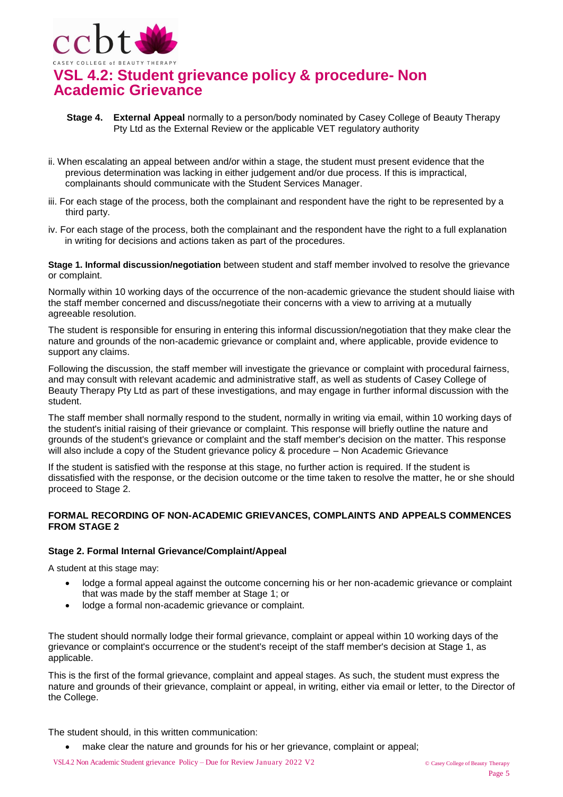

- **Stage 4. External Appeal** normally to a person/body nominated by Casey College of Beauty Therapy Pty Ltd as the External Review or the applicable VET regulatory authority
- ii. When escalating an appeal between and/or within a stage, the student must present evidence that the previous determination was lacking in either judgement and/or due process. If this is impractical, complainants should communicate with the Student Services Manager.
- iii. For each stage of the process, both the complainant and respondent have the right to be represented by a third party.
- iv. For each stage of the process, both the complainant and the respondent have the right to a full explanation in writing for decisions and actions taken as part of the procedures.

**Stage 1. Informal discussion/negotiation** between student and staff member involved to resolve the grievance or complaint.

Normally within 10 working days of the occurrence of the non-academic grievance the student should liaise with the staff member concerned and discuss/negotiate their concerns with a view to arriving at a mutually agreeable resolution.

The student is responsible for ensuring in entering this informal discussion/negotiation that they make clear the nature and grounds of the non-academic grievance or complaint and, where applicable, provide evidence to support any claims.

Following the discussion, the staff member will investigate the grievance or complaint with procedural fairness, and may consult with relevant academic and administrative staff, as well as students of Casey College of Beauty Therapy Pty Ltd as part of these investigations, and may engage in further informal discussion with the student.

The staff member shall normally respond to the student, normally in writing via email, within 10 working days of the student's initial raising of their grievance or complaint. This response will briefly outline the nature and grounds of the student's grievance or complaint and the staff member's decision on the matter. This response will also include a copy of the Student grievance policy & procedure – Non Academic Grievance

If the student is satisfied with the response at this stage, no further action is required. If the student is dissatisfied with the response, or the decision outcome or the time taken to resolve the matter, he or she should proceed to Stage 2.

### **FORMAL RECORDING OF NON-ACADEMIC GRIEVANCES, COMPLAINTS AND APPEALS COMMENCES FROM STAGE 2**

### **Stage 2. Formal Internal Grievance/Complaint/Appeal**

A student at this stage may:

- lodge a formal appeal against the outcome concerning his or her non-academic grievance or complaint that was made by the staff member at Stage 1; or
- lodge a formal non-academic grievance or complaint.

The student should normally lodge their formal grievance, complaint or appeal within 10 working days of the grievance or complaint's occurrence or the student's receipt of the staff member's decision at Stage 1, as applicable.

This is the first of the formal grievance, complaint and appeal stages. As such, the student must express the nature and grounds of their grievance, complaint or appeal, in writing, either via email or letter, to the Director of the College.

The student should, in this written communication:

make clear the nature and grounds for his or her grievance, complaint or appeal;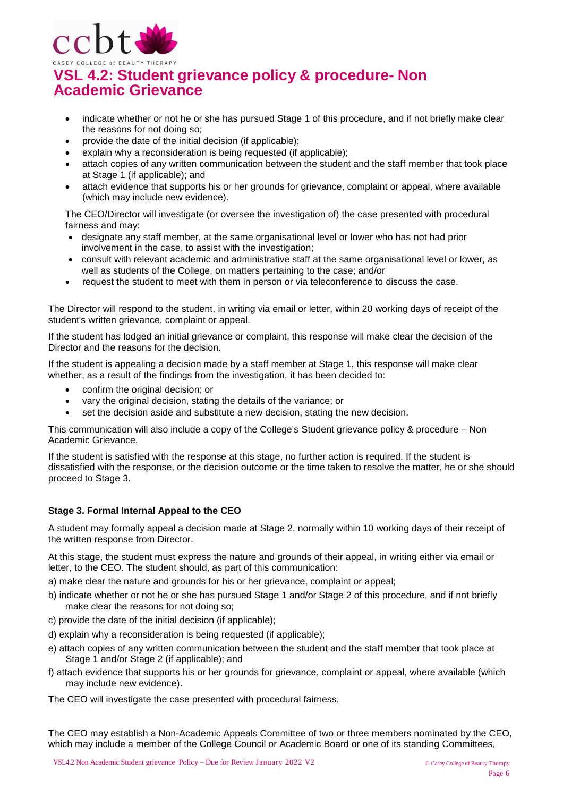

- indicate whether or not he or she has pursued Stage 1 of this procedure, and if not briefly make clear the reasons for not doing so;
- provide the date of the initial decision (if applicable);
- explain why a reconsideration is being requested (if applicable);
- attach copies of any written communication between the student and the staff member that took place at Stage 1 (if applicable); and
- attach evidence that supports his or her grounds for grievance, complaint or appeal, where available (which may include new evidence).

The CEO/Director will investigate (or oversee the investigation of) the case presented with procedural fairness and may:

- designate any staff member, at the same organisational level or lower who has not had prior involvement in the case, to assist with the investigation;
- consult with relevant academic and administrative staff at the same organisational level or lower, as well as students of the College, on matters pertaining to the case; and/or
- request the student to meet with them in person or via teleconference to discuss the case.

The Director will respond to the student, in writing via email or letter, within 20 working days of receipt of the student's written grievance, complaint or appeal.

If the student has lodged an initial grievance or complaint, this response will make clear the decision of the Director and the reasons for the decision.

If the student is appealing a decision made by a staff member at Stage 1, this response will make clear whether, as a result of the findings from the investigation, it has been decided to:

- confirm the original decision; or
- vary the original decision, stating the details of the variance; or
- set the decision aside and substitute a new decision, stating the new decision.

This communication will also include a copy of the College's Student grievance policy & procedure – Non Academic Grievance.

If the student is satisfied with the response at this stage, no further action is required. If the student is dissatisfied with the response, or the decision outcome or the time taken to resolve the matter, he or she should proceed to Stage 3.

### **Stage 3. Formal Internal Appeal to the CEO**

A student may formally appeal a decision made at Stage 2, normally within 10 working days of their receipt of the written response from Director.

At this stage, the student must express the nature and grounds of their appeal, in writing either via email or letter, to the CEO. The student should, as part of this communication:

- a) make clear the nature and grounds for his or her grievance, complaint or appeal;
- b) indicate whether or not he or she has pursued Stage 1 and/or Stage 2 of this procedure, and if not briefly make clear the reasons for not doing so;
- c) provide the date of the initial decision (if applicable);
- d) explain why a reconsideration is being requested (if applicable);
- e) attach copies of any written communication between the student and the staff member that took place at Stage 1 and/or Stage 2 (if applicable); and
- f) attach evidence that supports his or her grounds for grievance, complaint or appeal, where available (which may include new evidence).

The CEO will investigate the case presented with procedural fairness.

The CEO may establish a Non-Academic Appeals Committee of two or three members nominated by the CEO, which may include a member of the College Council or Academic Board or one of its standing Committees,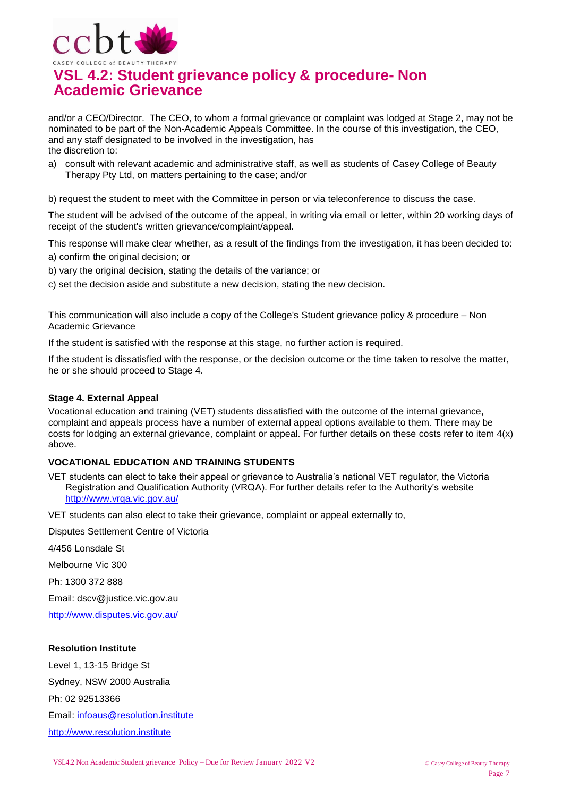

and/or a CEO/Director. The CEO, to whom a formal grievance or complaint was lodged at Stage 2, may not be nominated to be part of the Non-Academic Appeals Committee. In the course of this investigation, the CEO, and any staff designated to be involved in the investigation, has the discretion to:

a) consult with relevant academic and administrative staff, as well as students of Casey College of Beauty Therapy Pty Ltd, on matters pertaining to the case; and/or

b) request the student to meet with the Committee in person or via teleconference to discuss the case.

The student will be advised of the outcome of the appeal, in writing via email or letter, within 20 working days of receipt of the student's written grievance/complaint/appeal.

This response will make clear whether, as a result of the findings from the investigation, it has been decided to:

- a) confirm the original decision; or
- b) vary the original decision, stating the details of the variance; or

c) set the decision aside and substitute a new decision, stating the new decision.

This communication will also include a copy of the College's Student grievance policy & procedure – Non Academic Grievance

If the student is satisfied with the response at this stage, no further action is required.

If the student is dissatisfied with the response, or the decision outcome or the time taken to resolve the matter, he or she should proceed to Stage 4.

### **Stage 4. External Appeal**

Vocational education and training (VET) students dissatisfied with the outcome of the internal grievance, complaint and appeals process have a number of external appeal options available to them. There may be costs for lodging an external grievance, complaint or appeal. For further details on these costs refer to item 4(x) above.

### **VOCATIONAL EDUCATION AND TRAINING STUDENTS**

VET students can elect to take their appeal or grievance to Australia's national VET regulator, the Victoria Registration and Qualification Authority (VRQA). For further details refer to the Authority's website <http://www.vrqa.vic.gov.au/>

VET students can also elect to take their grievance, complaint or appeal externally to,

Disputes Settlement Centre of Victoria

4/456 Lonsdale St

Melbourne Vic 300

Ph: 1300 372 888

Email: dscv@justice.vic.gov.au

<http://www.disputes.vic.gov.au/>

#### **Resolution Institute**

Level 1, 13-15 Bridge St Sydney, NSW 2000 Australia

Ph: 02 92513366

Email: [infoaus@resolution.institute](mailto:infoaus@resolution.institute)

[http://www.resolution.institute](http://www.resolution.institute/)